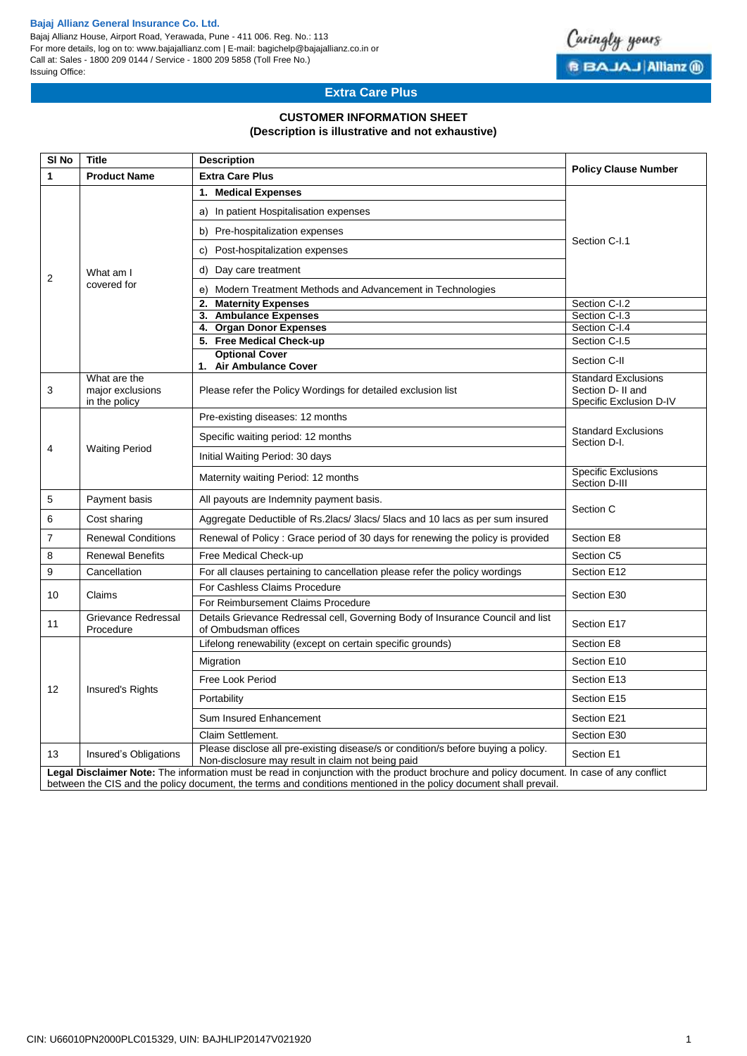#### **Bajaj Allianz General Insurance Co. Ltd.**

Bajaj Allianz House, Airport Road, Yerawada, Pune - 411 006. Reg. No.: 113 For more details, log on to: www.bajajallianz.com | E-mail: bagichelp@bajajallianz.co.in or Call at: Sales - 1800 209 0144 / Service - 1800 209 5858 (Toll Free No.) Issuing Office:



# **Extra Care Plus**

## **CUSTOMER INFORMATION SHEET**

### **(Description is illustrative and not exhaustive)**

| SI <sub>No</sub>                                                                                                                          | <b>Title</b>                                      | <b>Description</b>                                                                                                                     | <b>Policy Clause Number</b>                                                |  |  |  |  |  |  |  |
|-------------------------------------------------------------------------------------------------------------------------------------------|---------------------------------------------------|----------------------------------------------------------------------------------------------------------------------------------------|----------------------------------------------------------------------------|--|--|--|--|--|--|--|
| 1                                                                                                                                         | <b>Product Name</b>                               | <b>Extra Care Plus</b>                                                                                                                 |                                                                            |  |  |  |  |  |  |  |
|                                                                                                                                           |                                                   | 1. Medical Expenses                                                                                                                    | Section C-I.1                                                              |  |  |  |  |  |  |  |
|                                                                                                                                           | What am I<br>covered for                          | a) In patient Hospitalisation expenses                                                                                                 |                                                                            |  |  |  |  |  |  |  |
|                                                                                                                                           |                                                   | b) Pre-hospitalization expenses                                                                                                        |                                                                            |  |  |  |  |  |  |  |
|                                                                                                                                           |                                                   | Post-hospitalization expenses<br>C)                                                                                                    |                                                                            |  |  |  |  |  |  |  |
| 2                                                                                                                                         |                                                   | Day care treatment<br>d)                                                                                                               |                                                                            |  |  |  |  |  |  |  |
|                                                                                                                                           |                                                   | e) Modern Treatment Methods and Advancement in Technologies                                                                            |                                                                            |  |  |  |  |  |  |  |
|                                                                                                                                           |                                                   | <b>Maternity Expenses</b><br>2.                                                                                                        | Section C-I.2                                                              |  |  |  |  |  |  |  |
|                                                                                                                                           |                                                   | <b>Ambulance Expenses</b><br>3.                                                                                                        | Section C-I.3                                                              |  |  |  |  |  |  |  |
|                                                                                                                                           |                                                   | 4. Organ Donor Expenses                                                                                                                | Section C-I.4                                                              |  |  |  |  |  |  |  |
|                                                                                                                                           |                                                   | 5. Free Medical Check-up                                                                                                               | Section C-I.5                                                              |  |  |  |  |  |  |  |
|                                                                                                                                           |                                                   | <b>Optional Cover</b><br>1. Air Ambulance Cover                                                                                        | Section C-II                                                               |  |  |  |  |  |  |  |
| 3                                                                                                                                         | What are the<br>major exclusions<br>in the policy | Please refer the Policy Wordings for detailed exclusion list                                                                           | <b>Standard Exclusions</b><br>Section D- II and<br>Specific Exclusion D-IV |  |  |  |  |  |  |  |
|                                                                                                                                           | <b>Waiting Period</b>                             | Pre-existing diseases: 12 months                                                                                                       | <b>Standard Exclusions</b><br>Section D-I.                                 |  |  |  |  |  |  |  |
| $\overline{4}$                                                                                                                            |                                                   | Specific waiting period: 12 months                                                                                                     |                                                                            |  |  |  |  |  |  |  |
|                                                                                                                                           |                                                   | Initial Waiting Period: 30 days                                                                                                        |                                                                            |  |  |  |  |  |  |  |
|                                                                                                                                           |                                                   | Maternity waiting Period: 12 months                                                                                                    | <b>Specific Exclusions</b><br>Section D-III                                |  |  |  |  |  |  |  |
| 5                                                                                                                                         | Payment basis                                     | All payouts are Indemnity payment basis.                                                                                               | Section C                                                                  |  |  |  |  |  |  |  |
| 6                                                                                                                                         | Cost sharing                                      | Aggregate Deductible of Rs.2lacs/ 3lacs/ 5lacs and 10 lacs as per sum insured                                                          |                                                                            |  |  |  |  |  |  |  |
| $\overline{7}$                                                                                                                            | <b>Renewal Conditions</b>                         | Renewal of Policy: Grace period of 30 days for renewing the policy is provided                                                         | Section E8                                                                 |  |  |  |  |  |  |  |
| 8                                                                                                                                         | <b>Renewal Benefits</b>                           | Free Medical Check-up                                                                                                                  | Section C5                                                                 |  |  |  |  |  |  |  |
| 9                                                                                                                                         | Cancellation                                      | For all clauses pertaining to cancellation please refer the policy wordings                                                            | Section E12                                                                |  |  |  |  |  |  |  |
| 10                                                                                                                                        | Claims                                            | For Cashless Claims Procedure                                                                                                          | Section E30                                                                |  |  |  |  |  |  |  |
|                                                                                                                                           |                                                   | For Reimbursement Claims Procedure<br>Details Grievance Redressal cell, Governing Body of Insurance Council and list                   |                                                                            |  |  |  |  |  |  |  |
| 11                                                                                                                                        | Grievance Redressal<br>Procedure                  | Section E17                                                                                                                            |                                                                            |  |  |  |  |  |  |  |
|                                                                                                                                           | Insured's Rights                                  | Lifelong renewability (except on certain specific grounds)                                                                             | Section E8                                                                 |  |  |  |  |  |  |  |
|                                                                                                                                           |                                                   | Migration                                                                                                                              | Section E10                                                                |  |  |  |  |  |  |  |
| 12                                                                                                                                        |                                                   | Free Look Period                                                                                                                       | Section E13                                                                |  |  |  |  |  |  |  |
|                                                                                                                                           |                                                   | Portability                                                                                                                            | Section E15                                                                |  |  |  |  |  |  |  |
|                                                                                                                                           |                                                   | Sum Insured Enhancement                                                                                                                | Section E21                                                                |  |  |  |  |  |  |  |
|                                                                                                                                           |                                                   | Claim Settlement.                                                                                                                      | Section E30                                                                |  |  |  |  |  |  |  |
| 13                                                                                                                                        | Insured's Obligations                             | Please disclose all pre-existing disease/s or condition/s before buying a policy.<br>Non-disclosure may result in claim not being paid | Section E1                                                                 |  |  |  |  |  |  |  |
| Legal Disclaimer Note: The information must be read in conjunction with the product brochure and policy document. In case of any conflict |                                                   |                                                                                                                                        |                                                                            |  |  |  |  |  |  |  |

between the CIS and the policy document, the terms and conditions mentioned in the policy document shall prevail.